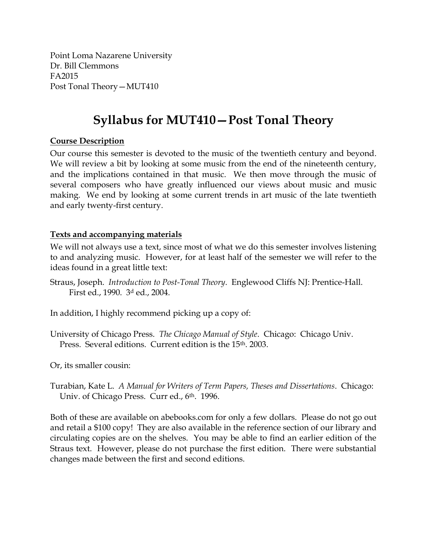Point Loma Nazarene University Dr. Bill Clemmons FA2015 Post Tonal Theory—MUT410

# **Syllabus for MUT410—Post Tonal Theory**

# **Course Description**

Our course this semester is devoted to the music of the twentieth century and beyond. We will review a bit by looking at some music from the end of the nineteenth century, and the implications contained in that music. We then move through the music of several composers who have greatly influenced our views about music and music making. We end by looking at some current trends in art music of the late twentieth and early twenty-first century.

#### **Texts and accompanying materials**

We will not always use a text, since most of what we do this semester involves listening to and analyzing music. However, for at least half of the semester we will refer to the ideas found in a great little text:

Straus, Joseph. *Introduction to Post-Tonal Theory*. Englewood Cliffs NJ: Prentice-Hall. First ed., 1990. 3<sup>d</sup> ed., 2004.

In addition, I highly recommend picking up a copy of:

University of Chicago Press. *The Chicago Manual of Style*. Chicago: Chicago Univ. Press. Several editions. Current edition is the 15th. 2003.

Or, its smaller cousin:

Turabian, Kate L. *A Manual for Writers of Term Papers, Theses and Dissertations*. Chicago: Univ. of Chicago Press. Curr ed., 6<sup>th</sup>. 1996.

Both of these are available on abebooks.com for only a few dollars. Please do not go out and retail a \$100 copy! They are also available in the reference section of our library and circulating copies are on the shelves. You may be able to find an earlier edition of the Straus text. However, please do not purchase the first edition. There were substantial changes made between the first and second editions.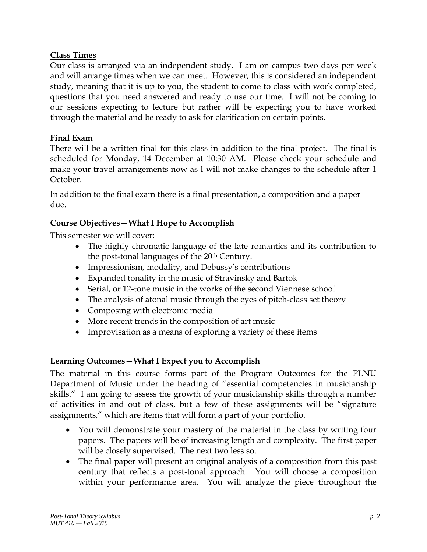# **Class Times**

Our class is arranged via an independent study. I am on campus two days per week and will arrange times when we can meet. However, this is considered an independent study, meaning that it is up to you, the student to come to class with work completed, questions that you need answered and ready to use our time. I will not be coming to our sessions expecting to lecture but rather will be expecting you to have worked through the material and be ready to ask for clarification on certain points.

## **Final Exam**

There will be a written final for this class in addition to the final project. The final is scheduled for Monday, 14 December at 10:30 AM. Please check your schedule and make your travel arrangements now as I will not make changes to the schedule after 1 October.

In addition to the final exam there is a final presentation, a composition and a paper due.

# **Course Objectives—What I Hope to Accomplish**

This semester we will cover:

- The highly chromatic language of the late romantics and its contribution to the post-tonal languages of the 20th Century.
- Impressionism, modality, and Debussy's contributions
- Expanded tonality in the music of Stravinsky and Bartok
- Serial, or 12-tone music in the works of the second Viennese school
- The analysis of atonal music through the eyes of pitch-class set theory
- Composing with electronic media
- More recent trends in the composition of art music
- Improvisation as a means of exploring a variety of these items

# **Learning Outcomes—What I Expect you to Accomplish**

The material in this course forms part of the Program Outcomes for the PLNU Department of Music under the heading of "essential competencies in musicianship skills." I am going to assess the growth of your musicianship skills through a number of activities in and out of class, but a few of these assignments will be "signature assignments," which are items that will form a part of your portfolio.

- You will demonstrate your mastery of the material in the class by writing four papers. The papers will be of increasing length and complexity. The first paper will be closely supervised. The next two less so.
- The final paper will present an original analysis of a composition from this past century that reflects a post-tonal approach. You will choose a composition within your performance area. You will analyze the piece throughout the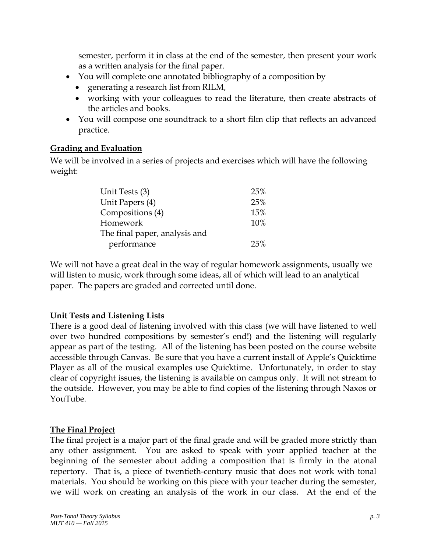semester, perform it in class at the end of the semester, then present your work as a written analysis for the final paper.

- You will complete one annotated bibliography of a composition by
	- generating a research list from RILM,
	- working with your colleagues to read the literature, then create abstracts of the articles and books.
- You will compose one soundtrack to a short film clip that reflects an advanced practice.

#### **Grading and Evaluation**

We will be involved in a series of projects and exercises which will have the following weight:

| Unit Tests (3)                | 25% |
|-------------------------------|-----|
| Unit Papers (4)               | 25% |
| Compositions (4)              | 15% |
| Homework                      | 10% |
| The final paper, analysis and |     |
| performance                   | 25% |

We will not have a great deal in the way of regular homework assignments, usually we will listen to music, work through some ideas, all of which will lead to an analytical paper. The papers are graded and corrected until done.

# **Unit Tests and Listening Lists**

There is a good deal of listening involved with this class (we will have listened to well over two hundred compositions by semester's end!) and the listening will regularly appear as part of the testing. All of the listening has been posted on the course website accessible through Canvas. Be sure that you have a current install of Apple's Quicktime Player as all of the musical examples use Quicktime. Unfortunately, in order to stay clear of copyright issues, the listening is available on campus only. It will not stream to the outside. However, you may be able to find copies of the listening through Naxos or YouTube.

#### **The Final Project**

The final project is a major part of the final grade and will be graded more strictly than any other assignment. You are asked to speak with your applied teacher at the beginning of the semester about adding a composition that is firmly in the atonal repertory. That is, a piece of twentieth-century music that does not work with tonal materials. You should be working on this piece with your teacher during the semester, we will work on creating an analysis of the work in our class. At the end of the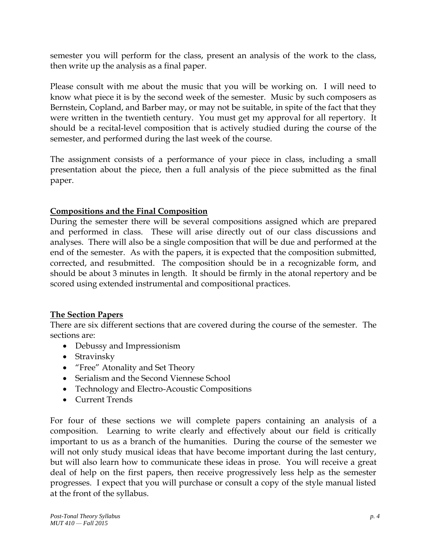semester you will perform for the class, present an analysis of the work to the class, then write up the analysis as a final paper.

Please consult with me about the music that you will be working on. I will need to know what piece it is by the second week of the semester. Music by such composers as Bernstein, Copland, and Barber may, or may not be suitable, in spite of the fact that they were written in the twentieth century. You must get my approval for all repertory. It should be a recital-level composition that is actively studied during the course of the semester, and performed during the last week of the course.

The assignment consists of a performance of your piece in class, including a small presentation about the piece, then a full analysis of the piece submitted as the final paper.

# **Compositions and the Final Composition**

During the semester there will be several compositions assigned which are prepared and performed in class. These will arise directly out of our class discussions and analyses. There will also be a single composition that will be due and performed at the end of the semester. As with the papers, it is expected that the composition submitted, corrected, and resubmitted. The composition should be in a recognizable form, and should be about 3 minutes in length. It should be firmly in the atonal repertory and be scored using extended instrumental and compositional practices.

# **The Section Papers**

There are six different sections that are covered during the course of the semester. The sections are:

- Debussy and Impressionism
- Stravinsky
- "Free" Atonality and Set Theory
- Serialism and the Second Viennese School
- Technology and Electro-Acoustic Compositions
- Current Trends

For four of these sections we will complete papers containing an analysis of a composition. Learning to write clearly and effectively about our field is critically important to us as a branch of the humanities. During the course of the semester we will not only study musical ideas that have become important during the last century, but will also learn how to communicate these ideas in prose. You will receive a great deal of help on the first papers, then receive progressively less help as the semester progresses. I expect that you will purchase or consult a copy of the style manual listed at the front of the syllabus.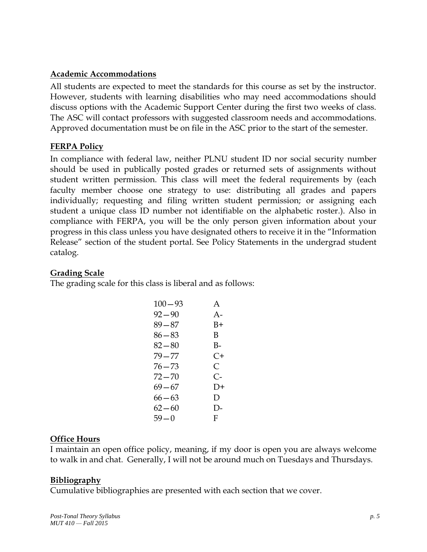#### **Academic Accommodations**

All students are expected to meet the standards for this course as set by the instructor. However, students with learning disabilities who may need accommodations should discuss options with the Academic Support Center during the first two weeks of class. The ASC will contact professors with suggested classroom needs and accommodations. Approved documentation must be on file in the ASC prior to the start of the semester.

#### **FERPA Policy**

In compliance with federal law, neither PLNU student ID nor social security number should be used in publically posted grades or returned sets of assignments without student written permission. This class will meet the federal requirements by (each faculty member choose one strategy to use: distributing all grades and papers individually; requesting and filing written student permission; or assigning each student a unique class ID number not identifiable on the alphabetic roster.). Also in compliance with FERPA, you will be the only person given information about your progress in this class unless you have designated others to receive it in the "Information Release" section of the student portal. See [Policy Statements](http://www.pointloma.edu/experience/academics/catalogs/undergraduate-catalog/policy-statements) in the undergrad student catalog.

#### **Grading Scale**

The grading scale for this class is liberal and as follows:

| $100 - 93$ | A          |
|------------|------------|
| 92—90      | $A -$      |
| 89—87      | B+         |
| $86 - 83$  | В          |
| $82 - 80$  | B-         |
| 79—77      | C+         |
| $76 - 73$  | C          |
| 72 — 70    | $C_{\tau}$ |
| 69—67      | $1+$       |
| $66 - 63$  | D          |
| 62—60      | $1$ )-     |
| $59 - 0$   | F          |

#### **Office Hours**

I maintain an open office policy, meaning, if my door is open you are always welcome to walk in and chat. Generally, I will not be around much on Tuesdays and Thursdays.

#### **Bibliography**

Cumulative bibliographies are presented with each section that we cover.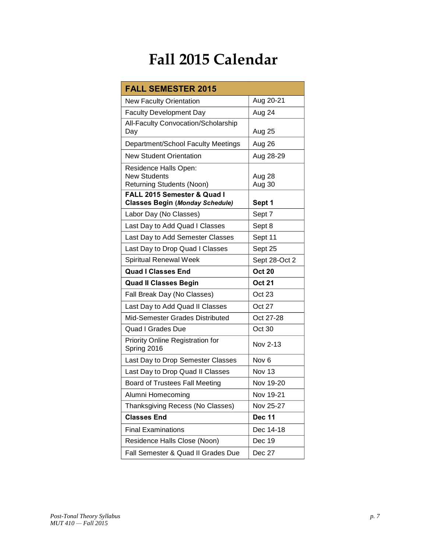# $Fall 2015$  Calendar

| <b>FALL SEMESTER 2015</b>                                                        |                  |
|----------------------------------------------------------------------------------|------------------|
| <b>New Faculty Orientation</b>                                                   | Aug 20-21        |
| <b>Faculty Development Day</b>                                                   | Aug 24           |
| All-Faculty Convocation/Scholarship<br>Day                                       | Aug 25           |
| Department/School Faculty Meetings                                               | Aug 26           |
| <b>New Student Orientation</b>                                                   | Aug 28-29        |
| Residence Halls Open:<br><b>New Students</b><br><b>Returning Students (Noon)</b> | Aug 28<br>Aug 30 |
| FALL 2015 Semester & Quad I<br><b>Classes Begin (Monday Schedule)</b>            | Sept 1           |
| Labor Day (No Classes)                                                           | Sept 7           |
| Last Day to Add Quad I Classes                                                   | Sept 8           |
| Last Day to Add Semester Classes                                                 | Sept 11          |
| Last Day to Drop Quad I Classes                                                  | Sept 25          |
| <b>Spiritual Renewal Week</b>                                                    | Sept 28-Oct 2    |
| <b>Quad I Classes End</b>                                                        | <b>Oct 20</b>    |
| <b>Quad II Classes Begin</b>                                                     | <b>Oct 21</b>    |
| Fall Break Day (No Classes)                                                      | Oct 23           |
| Last Day to Add Quad II Classes                                                  | Oct 27           |
| Mid-Semester Grades Distributed                                                  | Oct 27-28        |
| <b>Quad I Grades Due</b>                                                         | Oct 30           |
| Priority Online Registration for<br>Spring 2016                                  | Nov 2-13         |
| Last Day to Drop Semester Classes                                                | Nov <sub>6</sub> |
| Last Day to Drop Quad II Classes                                                 | Nov 13           |
| <b>Board of Trustees Fall Meeting</b>                                            | Nov 19-20        |
| Alumni Homecoming                                                                | Nov 19-21        |
| Thanksgiving Recess (No Classes)                                                 | Nov 25-27        |
| <b>Classes End</b>                                                               | <b>Dec 11</b>    |
| <b>Final Examinations</b>                                                        | Dec 14-18        |
| Residence Halls Close (Noon)                                                     | Dec 19           |
|                                                                                  |                  |